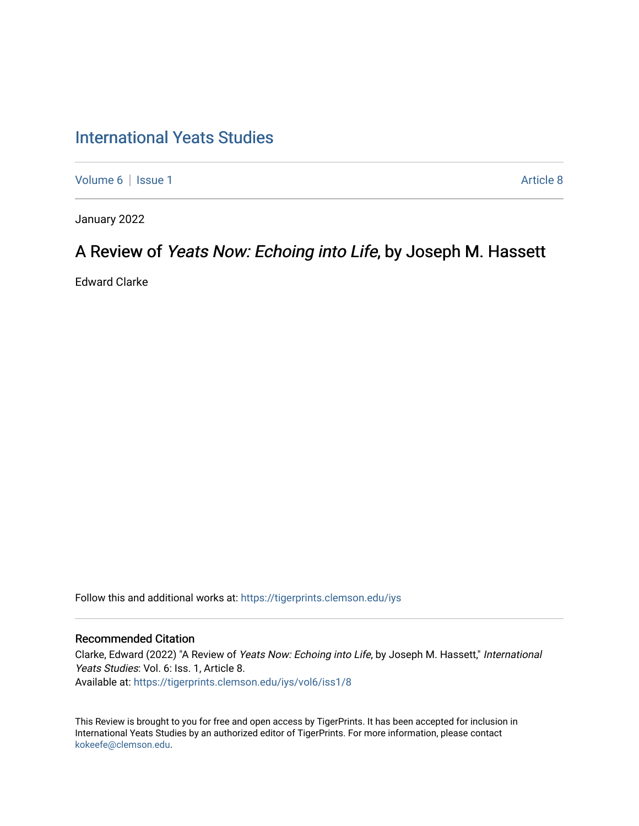# [International Yeats Studies](https://tigerprints.clemson.edu/iys)

[Volume 6](https://tigerprints.clemson.edu/iys/vol6) | [Issue 1](https://tigerprints.clemson.edu/iys/vol6/iss1) Article 8

January 2022

# A Review of Yeats Now: Echoing into Life, by Joseph M. Hassett

Edward Clarke

Follow this and additional works at: [https://tigerprints.clemson.edu/iys](https://tigerprints.clemson.edu/iys?utm_source=tigerprints.clemson.edu%2Fiys%2Fvol6%2Fiss1%2F8&utm_medium=PDF&utm_campaign=PDFCoverPages) 

### Recommended Citation

Clarke, Edward (2022) "A Review of Yeats Now: Echoing into Life, by Joseph M. Hassett," International Yeats Studies: Vol. 6: Iss. 1, Article 8. Available at: [https://tigerprints.clemson.edu/iys/vol6/iss1/8](https://tigerprints.clemson.edu/iys/vol6/iss1/8?utm_source=tigerprints.clemson.edu%2Fiys%2Fvol6%2Fiss1%2F8&utm_medium=PDF&utm_campaign=PDFCoverPages) 

This Review is brought to you for free and open access by TigerPrints. It has been accepted for inclusion in International Yeats Studies by an authorized editor of TigerPrints. For more information, please contact [kokeefe@clemson.edu](mailto:kokeefe@clemson.edu).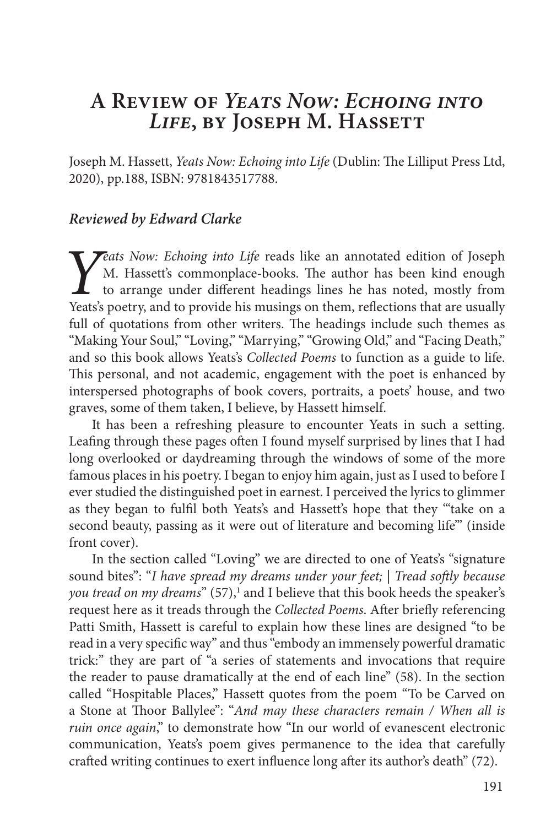## **A Review of** *Yeats Now: Echoing into Life***, by Joseph M. Hassett**

Joseph M. Hassett, *Yeats Now: Echoing into Life* (Dublin: The Lilliput Press Ltd, 2020), pp.188, ISBN: 9781843517788.

## *Reviewed by Edward Clarke*

*Yeats Now: Echoing into Life* reads like an annotated edition of Joseph M. Hassett's commonplace-books. The author has been kind enough to arrange under different headings lines he has noted, mostly from Yeats's poetry, a M. Hassett's commonplace-books. The author has been kind enough to arrange under different headings lines he has noted, mostly from Yeats's poetry, and to provide his musings on them, reflections that are usually full of quotations from other writers. The headings include such themes as "Making Your Soul," "Loving," "Marrying," "Growing Old," and "Facing Death," and so this book allows Yeats's *Collected Poems* to function as a guide to life. This personal, and not academic, engagement with the poet is enhanced by interspersed photographs of book covers, portraits, a poets' house, and two graves, some of them taken, I believe, by Hassett himself.

It has been a refreshing pleasure to encounter Yeats in such a setting. Leafing through these pages often I found myself surprised by lines that I had long overlooked or daydreaming through the windows of some of the more famous places in his poetry. I began to enjoy him again, just as I used to before I ever studied the distinguished poet in earnest. I perceived the lyrics to glimmer as they began to fulfil both Yeats's and Hassett's hope that they "'take on a second beauty, passing as it were out of literature and becoming life'" (inside front cover).

In the section called "Loving" we are directed to one of Yeats's "signature sound bites": "*I have spread my dreams under your feet;* | *Tread softly because*  you tread on my dreams" (57),<sup>1</sup> and I believe that this book heeds the speaker's request here as it treads through the *Collected Poems*. After briefly referencing Patti Smith, Hassett is careful to explain how these lines are designed "to be read in a very specific way" and thus "embody an immensely powerful dramatic trick:" they are part of "a series of statements and invocations that require the reader to pause dramatically at the end of each line" (58). In the section called "Hospitable Places," Hassett quotes from the poem "To be Carved on a Stone at Thoor Ballylee": "*And may these characters remain / When all is ruin once again*," to demonstrate how "In our world of evanescent electronic communication, Yeats's poem gives permanence to the idea that carefully crafted writing continues to exert influence long after its author's death" (72).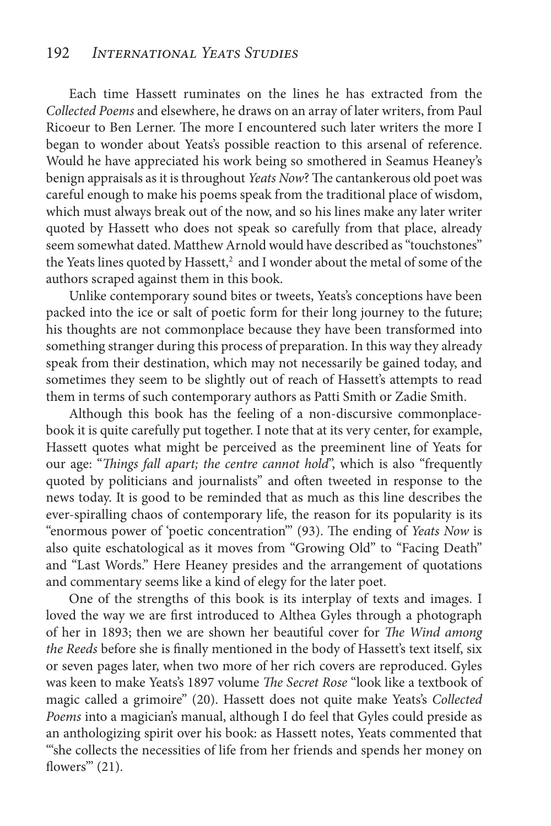Each time Hassett ruminates on the lines he has extracted from the *Collected Poems* and elsewhere, he draws on an array of later writers, from Paul Ricoeur to Ben Lerner. The more I encountered such later writers the more I began to wonder about Yeats's possible reaction to this arsenal of reference. Would he have appreciated his work being so smothered in Seamus Heaney's benign appraisals as it is throughout *Yeats Now*? The cantankerous old poet was careful enough to make his poems speak from the traditional place of wisdom, which must always break out of the now, and so his lines make any later writer quoted by Hassett who does not speak so carefully from that place, already seem somewhat dated. Matthew Arnold would have described as "touchstones" the Yeats lines quoted by Hassett, $^2$  and I wonder about the metal of some of the authors scraped against them in this book.

Unlike contemporary sound bites or tweets, Yeats's conceptions have been packed into the ice or salt of poetic form for their long journey to the future; his thoughts are not commonplace because they have been transformed into something stranger during this process of preparation. In this way they already speak from their destination, which may not necessarily be gained today, and sometimes they seem to be slightly out of reach of Hassett's attempts to read them in terms of such contemporary authors as Patti Smith or Zadie Smith.

Although this book has the feeling of a non-discursive commonplacebook it is quite carefully put together. I note that at its very center, for example, Hassett quotes what might be perceived as the preeminent line of Yeats for our age: "*Things fall apart; the centre cannot hold*", which is also "frequently quoted by politicians and journalists" and often tweeted in response to the news today. It is good to be reminded that as much as this line describes the ever-spiralling chaos of contemporary life, the reason for its popularity is its "enormous power of 'poetic concentration'" (93). The ending of *Yeats Now* is also quite eschatological as it moves from "Growing Old" to "Facing Death" and "Last Words." Here Heaney presides and the arrangement of quotations and commentary seems like a kind of elegy for the later poet.

One of the strengths of this book is its interplay of texts and images. I loved the way we are first introduced to Althea Gyles through a photograph of her in 1893; then we are shown her beautiful cover for *The Wind among the Reeds* before she is finally mentioned in the body of Hassett's text itself, six or seven pages later, when two more of her rich covers are reproduced. Gyles was keen to make Yeats's 1897 volume *The Secret Rose* "look like a textbook of magic called a grimoire" (20). Hassett does not quite make Yeats's *Collected Poems* into a magician's manual, although I do feel that Gyles could preside as an anthologizing spirit over his book: as Hassett notes, Yeats commented that "'she collects the necessities of life from her friends and spends her money on flowers'" (21).